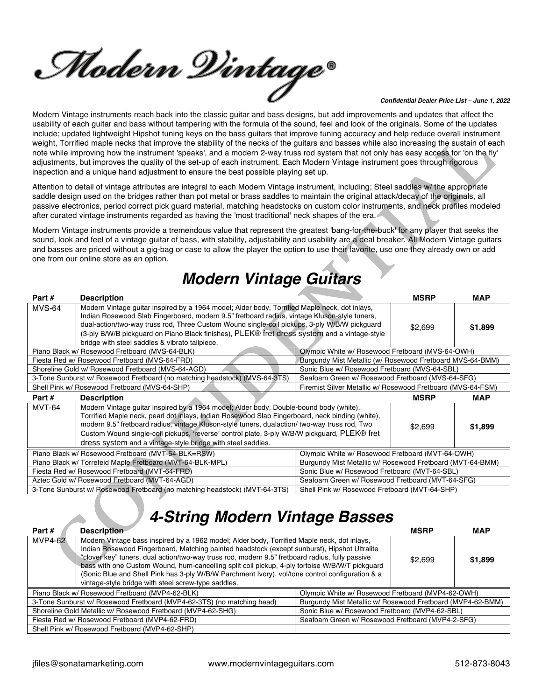Modern Dintage®

#### *Confidential Dealer Price List – June 1, 2022*

Modern Vintage instruments reach back into the classic guitar and bass designs, but add improvements and updates that affect the usability of each guitar and bass without tampering with the formula of the sound, feel and look of the originals. Some of the updates include; updated lightweight Hipshot tuning keys on the bass guitars that improve tuning accuracy and help reduce overall instrument weight, Torrified maple necks that improve the stability of the necks of the guitars and basses while also increasing the sustain of each note while improving how the instrument 'speaks', and a modern 2-way truss rod system that not only has easy access for 'on the fly' adjustments, but improves the quality of the set-up of each instrument. Each Modern Vintage instrument goes through rigorous inspection and a unique hand adjustment to ensure the best possible playing set up.

Attention to detail of vintage attributes are integral to each Modern Vintage instrument, including; Steel saddles w/ the appropriate saddle design used on the bridges rather than pot metal or brass saddles to maintain the original attack/decay of the originals, all passive electronics, period correct pick guard material, matching headstocks on custom color instruments, and neck profiles modeled after curated vintage instruments regarded as having the 'most traditional' neck shapes of the era.

Modern Vintage instruments provide a tremendous value that represent the greatest 'bang-for-the-buck' for any player that seeks the sound, look and feel of a vintage guitar of bass, with stability, adjustability and usability are a deal breaker. All Modern Vintage guitars and basses are priced without a gig-bag or case to allow the player the option to use their favorite, use one they already own or add one from our online store as an option.

### *Modern Vintage Guitars*

| Part #        | <b>Description</b>                                                                                                                                                                                                                                                                                                                                                                                                                                        |                                                           | <b>MSRP</b>                                                 | <b>MAP</b> |
|---------------|-----------------------------------------------------------------------------------------------------------------------------------------------------------------------------------------------------------------------------------------------------------------------------------------------------------------------------------------------------------------------------------------------------------------------------------------------------------|-----------------------------------------------------------|-------------------------------------------------------------|------------|
| <b>MVS-64</b> | Modern Vintage guitar inspired by a 1964 model; Alder body, Torrified Maple neck, dot inlays,<br>Indian Rosewood Slab Fingerboard, modern 9.5" fretboard radius, vintage Kluson-style tuners,<br>dual-action/two-way truss rod, Three Custom Wound single-coil pickups, 3-ply W/B/W pickguard<br>(3-ply B/W/B pickguard on Piano Black finishes), PLEK® fret dress system and a vintage-style<br>bridge with steel saddles & vibrato tailpiece.           |                                                           | \$2,699                                                     | \$1,899    |
|               | Piano Black w/ Rosewood Fretboard (MVS-64-BLK)                                                                                                                                                                                                                                                                                                                                                                                                            | Olympic White w/ Rosewood Fretboard (MVS-64-OWH)          |                                                             |            |
|               | Fiesta Red w/ Rosewood Fretboard (MVS-64-FRD)                                                                                                                                                                                                                                                                                                                                                                                                             | Burgundy Mist Metallic (w/ Rosewood Fretboard MVS-64-BMM) |                                                             |            |
|               | Shoreline Gold w/ Rosewood Fretboard (MVS-64-AGD)                                                                                                                                                                                                                                                                                                                                                                                                         | Sonic Blue w/ Rosewood Fretboard (MVS-64-SBL)             |                                                             |            |
|               | 3-Tone Sunburst w/ Rosewood Fretboard (no matching headstock) (MVS-64-3TS)                                                                                                                                                                                                                                                                                                                                                                                | Seafoam Green w/ Rosewood Fretboard (MVS-64-SFG)          |                                                             |            |
|               | Shell Pink w/ Rosewood Fretboard (MVS-64-SHP)                                                                                                                                                                                                                                                                                                                                                                                                             |                                                           | Firemist Silver Metallic w/ Rosewood Fretboard (MVS-64-FSM) |            |
|               |                                                                                                                                                                                                                                                                                                                                                                                                                                                           |                                                           |                                                             |            |
| Part #        | <b>Description</b>                                                                                                                                                                                                                                                                                                                                                                                                                                        |                                                           | <b>MSRP</b>                                                 | MAP        |
| <b>MVT-64</b> | Modern Vintage guitar inspired by a 1964 model; Alder body, Double-bound body (white),<br>Torrified Maple neck, pearl dot inlays, Indian Rosewood Slab Fingerboard, neck binding (white),<br>modern 9.5" fretboard radius, vintage Kluson-style tuners, dualaction/ two-way truss rod, Two<br>Custom Wound single-coil pickups, 'reverse' control plate, 3-ply W/B/W pickguard, PLEK® fret<br>dress system and a vintage-style bridge with steel saddles. |                                                           | \$2,699                                                     | \$1,899    |
|               | Piano Black w/ Rosewood Fretboard (MVT-64-BLK=RSW)                                                                                                                                                                                                                                                                                                                                                                                                        | Olympic White w/ Rosewood Fretboard (MVT-64-OWH)          |                                                             |            |
|               | Piano Black w/ Torrefeid Maple Fretboard (MVT-64-BLK-MPL)                                                                                                                                                                                                                                                                                                                                                                                                 | Burgundy Mist Metallic w/ Rosewood Fretboard (MVT-64-BMM) |                                                             |            |
|               | Fiesta Red w/ Rosewood Fretboard (MVT-64-FRD)                                                                                                                                                                                                                                                                                                                                                                                                             | Sonic Blue w/ Rosewood Fretboard (MVT-64-SBL)             |                                                             |            |
|               | Aztec Gold w/ Rosewood Fretboard (MVT-64-AGD)                                                                                                                                                                                                                                                                                                                                                                                                             | Seafoam Green w/ Rosewood Fretboard (MVT-64-SFG)          |                                                             |            |

### *4-String Modern Vintage Basses*

| Part #                                                                                             | <b>Description</b>                                                                                                                                                                                                                                                                                                                                                                                                                                                                                                                                         |                                                            | <b>MSRP</b> | <b>MAP</b> |
|----------------------------------------------------------------------------------------------------|------------------------------------------------------------------------------------------------------------------------------------------------------------------------------------------------------------------------------------------------------------------------------------------------------------------------------------------------------------------------------------------------------------------------------------------------------------------------------------------------------------------------------------------------------------|------------------------------------------------------------|-------------|------------|
| <b>MVP4-62</b>                                                                                     | Modern Vintage bass inspired by a 1962 model; Alder body, Torrified Maple neck, dot inlays,<br>Indian Rosewood Fingerboard, Matching painted headstock (except sunburst), Hipshot Ultralite<br>"clover key" tuners, dual action/two-way truss rod, modern 9.5" fretboard radius, fully passive<br>bass with one Custom Wound, hum-cancelling split coil pickup, 4-ply tortoise W/B/W/T pickguard<br>(Sonic Blue and Shell Pink has 3-ply W/B/W Parchment Ivory), vol/tone control configuration & a<br>vintage-style bridge with steel screw-type saddles. |                                                            | \$2.699     | \$1,899    |
|                                                                                                    | Piano Black w/ Rosewood Fretboard (MVP4-62-BLK)                                                                                                                                                                                                                                                                                                                                                                                                                                                                                                            | Olympic White w/ Rosewood Fretboard (MVP4-62-OWH)          |             |            |
|                                                                                                    | 3-Tone Sunburst w/ Rosewood Fretboard (MVP4-62-3TS) (no matching head)                                                                                                                                                                                                                                                                                                                                                                                                                                                                                     | Burgundy Mist Metallic w/ Rosewood Fretboard (MVP4-62-BMM) |             |            |
|                                                                                                    | Shoreline Gold Metallic w/ Rosewood Fretboard (MVP4-62-SHG)                                                                                                                                                                                                                                                                                                                                                                                                                                                                                                | Sonic Blue w/ Rosewood Fretboard (MVP4-62-SBL)             |             |            |
| Seafoam Green w/ Rosewood Fretboard (MVP4-2-SFG)<br>Fiesta Red w/ Rosewood Fretboard (MVP4-62-FRD) |                                                                                                                                                                                                                                                                                                                                                                                                                                                                                                                                                            |                                                            |             |            |
|                                                                                                    | Shell Pink w/ Rosewood Fretboard (MVP4-62-SHP)                                                                                                                                                                                                                                                                                                                                                                                                                                                                                                             |                                                            |             |            |